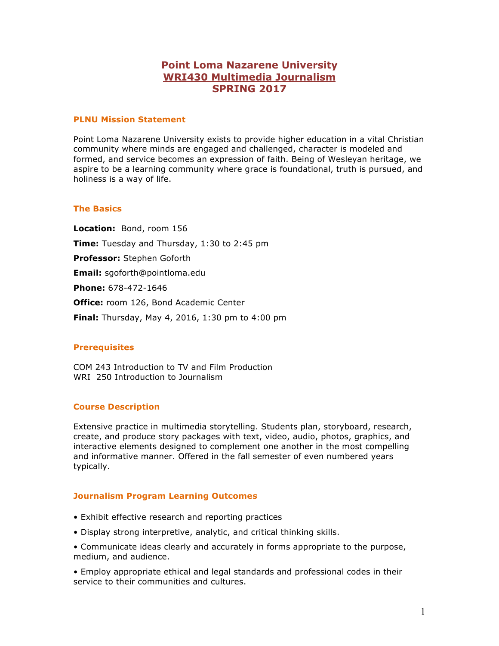# **Point Loma Nazarene University WRI430 Multimedia Journalism SPRING 2017**

#### **PLNU Mission Statement**

Point Loma Nazarene University exists to provide higher education in a vital Christian community where minds are engaged and challenged, character is modeled and formed, and service becomes an expression of faith. Being of Wesleyan heritage, we aspire to be a learning community where grace is foundational, truth is pursued, and holiness is a way of life.

#### **The Basics**

**Location:** Bond, room 156 **Time:** Tuesday and Thursday, 1:30 to 2:45 pm **Professor:** Stephen Goforth **Email:** sgoforth@pointloma.edu **Phone:** 678-472-1646 **Office:** room 126, Bond Academic Center **Final:** Thursday, May 4, 2016, 1:30 pm to 4:00 pm

### **Prerequisites**

COM 243 Introduction to TV and Film Production WRI 250 Introduction to Journalism

### **Course Description**

Extensive practice in multimedia storytelling. Students plan, storyboard, research, create, and produce story packages with text, video, audio, photos, graphics, and interactive elements designed to complement one another in the most compelling and informative manner. Offered in the fall semester of even numbered years typically.

### **Journalism Program Learning Outcomes**

- Exhibit effective research and reporting practices
- Display strong interpretive, analytic, and critical thinking skills.
- Communicate ideas clearly and accurately in forms appropriate to the purpose, medium, and audience.

• Employ appropriate ethical and legal standards and professional codes in their service to their communities and cultures.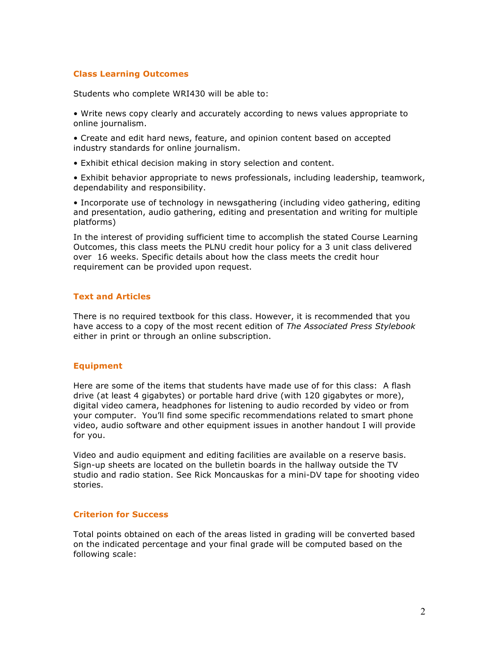### **Class Learning Outcomes**

Students who complete WRI430 will be able to:

• Write news copy clearly and accurately according to news values appropriate to online journalism.

• Create and edit hard news, feature, and opinion content based on accepted industry standards for online journalism.

• Exhibit ethical decision making in story selection and content.

• Exhibit behavior appropriate to news professionals, including leadership, teamwork, dependability and responsibility.

• Incorporate use of technology in newsgathering (including video gathering, editing and presentation, audio gathering, editing and presentation and writing for multiple platforms)

In the interest of providing sufficient time to accomplish the stated Course Learning Outcomes, this class meets the PLNU credit hour policy for a 3 unit class delivered over 16 weeks. Specific details about how the class meets the credit hour requirement can be provided upon request.

### **Text and Articles**

There is no required textbook for this class. However, it is recommended that you have access to a copy of the most recent edition of *The Associated Press Stylebook* either in print or through an online subscription.

#### **Equipment**

Here are some of the items that students have made use of for this class: A flash drive (at least 4 gigabytes) or portable hard drive (with 120 gigabytes or more), digital video camera, headphones for listening to audio recorded by video or from your computer. You'll find some specific recommendations related to smart phone video, audio software and other equipment issues in another handout I will provide for you.

Video and audio equipment and editing facilities are available on a reserve basis. Sign-up sheets are located on the bulletin boards in the hallway outside the TV studio and radio station. See Rick Moncauskas for a mini-DV tape for shooting video stories.

#### **Criterion for Success**

Total points obtained on each of the areas listed in grading will be converted based on the indicated percentage and your final grade will be computed based on the following scale: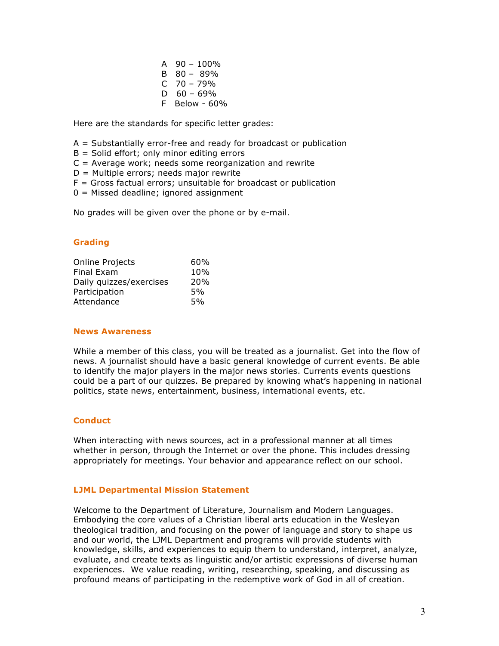A  $90 - 100\%$ B 80 – 89%  $C$  70 – 79%  $D 60 - 69%$ F Below - 60%

Here are the standards for specific letter grades:

- A = Substantially error-free and ready for broadcast or publication
- $B =$  Solid effort; only minor editing errors
- $C =$  Average work; needs some reorganization and rewrite
- $D =$  Multiple errors; needs major rewrite
- $F =$  Gross factual errors; unsuitable for broadcast or publication
- 0 = Missed deadline; ignored assignment

No grades will be given over the phone or by e-mail.

### **Grading**

| Online Projects         | 60% |
|-------------------------|-----|
| Final Exam              | 10% |
| Daily quizzes/exercises | 20% |
| Participation           | 5%  |
| Attendance              | 5%  |

#### **News Awareness**

While a member of this class, you will be treated as a journalist. Get into the flow of news. A journalist should have a basic general knowledge of current events. Be able to identify the major players in the major news stories. Currents events questions could be a part of our quizzes. Be prepared by knowing what's happening in national politics, state news, entertainment, business, international events, etc.

#### **Conduct**

When interacting with news sources, act in a professional manner at all times whether in person, through the Internet or over the phone. This includes dressing appropriately for meetings. Your behavior and appearance reflect on our school.

#### **LJML Departmental Mission Statement**

Welcome to the Department of Literature, Journalism and Modern Languages. Embodying the core values of a Christian liberal arts education in the Wesleyan theological tradition, and focusing on the power of language and story to shape us and our world, the LJML Department and programs will provide students with knowledge, skills, and experiences to equip them to understand, interpret, analyze, evaluate, and create texts as linguistic and/or artistic expressions of diverse human experiences. We value reading, writing, researching, speaking, and discussing as profound means of participating in the redemptive work of God in all of creation.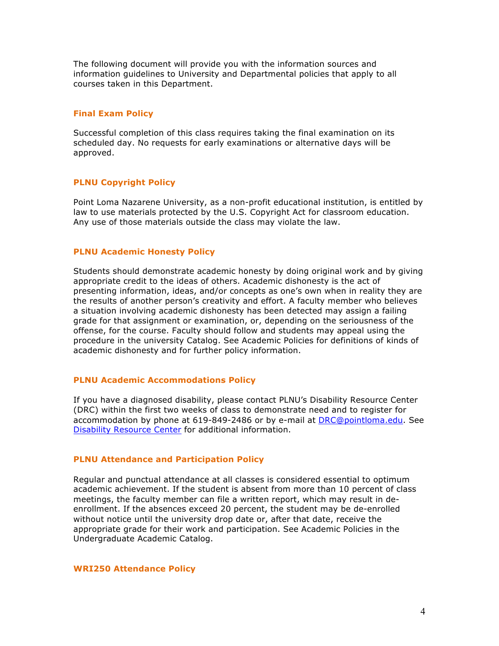The following document will provide you with the information sources and information guidelines to University and Departmental policies that apply to all courses taken in this Department.

### **Final Exam Policy**

Successful completion of this class requires taking the final examination on its scheduled day. No requests for early examinations or alternative days will be approved.

### **PLNU Copyright Policy**

Point Loma Nazarene University, as a non-profit educational institution, is entitled by law to use materials protected by the U.S. Copyright Act for classroom education. Any use of those materials outside the class may violate the law.

#### **PLNU Academic Honesty Policy**

Students should demonstrate academic honesty by doing original work and by giving appropriate credit to the ideas of others. Academic dishonesty is the act of presenting information, ideas, and/or concepts as one's own when in reality they are the results of another person's creativity and effort. A faculty member who believes a situation involving academic dishonesty has been detected may assign a failing grade for that assignment or examination, or, depending on the seriousness of the offense, for the course. Faculty should follow and students may appeal using the procedure in the university Catalog. See Academic Policies for definitions of kinds of academic dishonesty and for further policy information.

#### **PLNU Academic Accommodations Policy**

If you have a diagnosed disability, please contact PLNU's Disability Resource Center (DRC) within the first two weeks of class to demonstrate need and to register for accommodation by phone at 619-849-2486 or by e-mail at DRC@pointloma.edu. See Disability Resource Center for additional information.

#### **PLNU Attendance and Participation Policy**

Regular and punctual attendance at all classes is considered essential to optimum academic achievement. If the student is absent from more than 10 percent of class meetings, the faculty member can file a written report, which may result in deenrollment. If the absences exceed 20 percent, the student may be de-enrolled without notice until the university drop date or, after that date, receive the appropriate grade for their work and participation. See Academic Policies in the Undergraduate Academic Catalog.

#### **WRI250 Attendance Policy**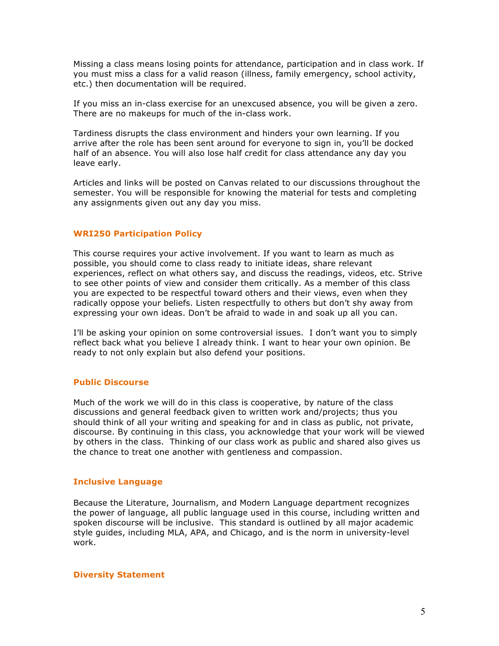Missing a class means losing points for attendance, participation and in class work. If you must miss a class for a valid reason (illness, family emergency, school activity, etc.) then documentation will be required.

If you miss an in-class exercise for an unexcused absence, you will be given a zero. There are no makeups for much of the in-class work.

Tardiness disrupts the class environment and hinders your own learning. If you arrive after the role has been sent around for everyone to sign in, you'll be docked half of an absence. You will also lose half credit for class attendance any day you leave early.

Articles and links will be posted on Canvas related to our discussions throughout the semester. You will be responsible for knowing the material for tests and completing any assignments given out any day you miss.

#### **WRI250 Participation Policy**

This course requires your active involvement. If you want to learn as much as possible, you should come to class ready to initiate ideas, share relevant experiences, reflect on what others say, and discuss the readings, videos, etc. Strive to see other points of view and consider them critically. As a member of this class you are expected to be respectful toward others and their views, even when they radically oppose your beliefs. Listen respectfully to others but don't shy away from expressing your own ideas. Don't be afraid to wade in and soak up all you can.

I'll be asking your opinion on some controversial issues. I don't want you to simply reflect back what you believe I already think. I want to hear your own opinion. Be ready to not only explain but also defend your positions.

#### **Public Discourse**

Much of the work we will do in this class is cooperative, by nature of the class discussions and general feedback given to written work and/projects; thus you should think of all your writing and speaking for and in class as public, not private, discourse. By continuing in this class, you acknowledge that your work will be viewed by others in the class. Thinking of our class work as public and shared also gives us the chance to treat one another with gentleness and compassion.

#### **Inclusive Language**

Because the Literature, Journalism, and Modern Language department recognizes the power of language, all public language used in this course, including written and spoken discourse will be inclusive. This standard is outlined by all major academic style guides, including MLA, APA, and Chicago, and is the norm in university-level work.

**Diversity Statement**